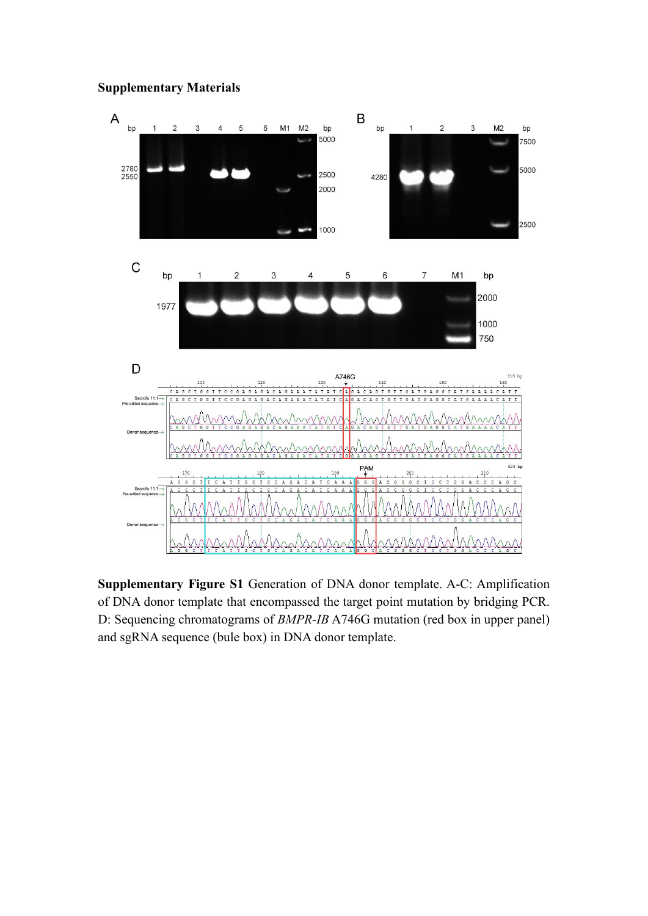## **Supplementary Materials**



**Supplementary Figure S1** Generation of DNA donor template. A-C: Amplification of DNA donor template that encompassed the target point mutation by bridging PCR. D: Sequencing chromatograms of *BMPR-IB* A746G mutation (red box in upper panel) and sgRNA sequence (bule box) in DNA donor template.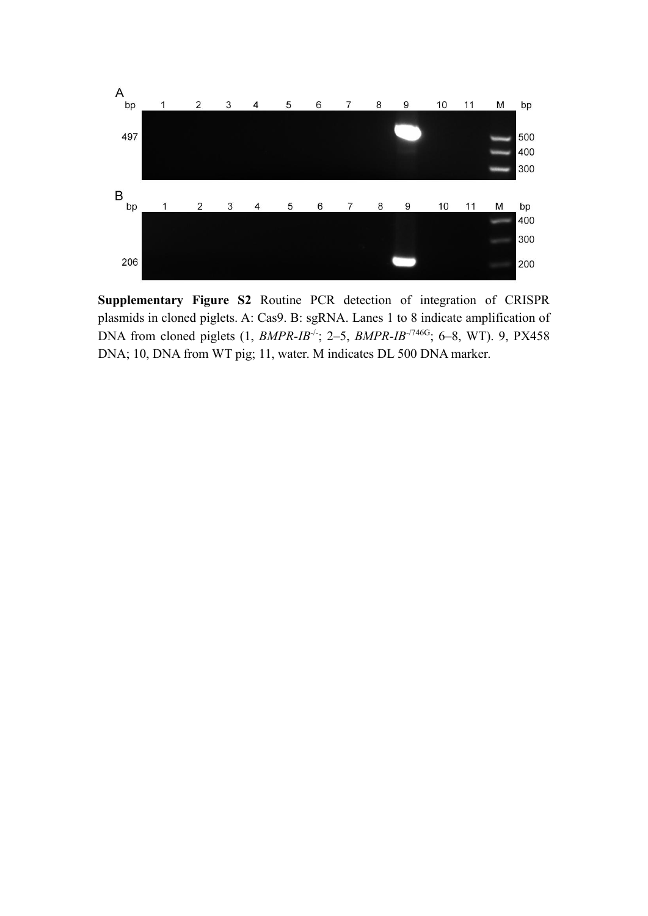

**Supplementary Figure S2** Routine PCR detection of integration of CRISPR plasmids in cloned piglets. A: Cas9. B: sgRNA. Lanes 1 to 8 indicate amplification of DNA from cloned piglets (1, *BMPR-IB<sup>-/-</sup>*; 2–5, *BMPR-IB<sup>-/746G</sup>*; 6–8, WT). 9, PX458 DNA; 10, DNA from WT pig; 11, water. M indicates DL 500 DNA marker.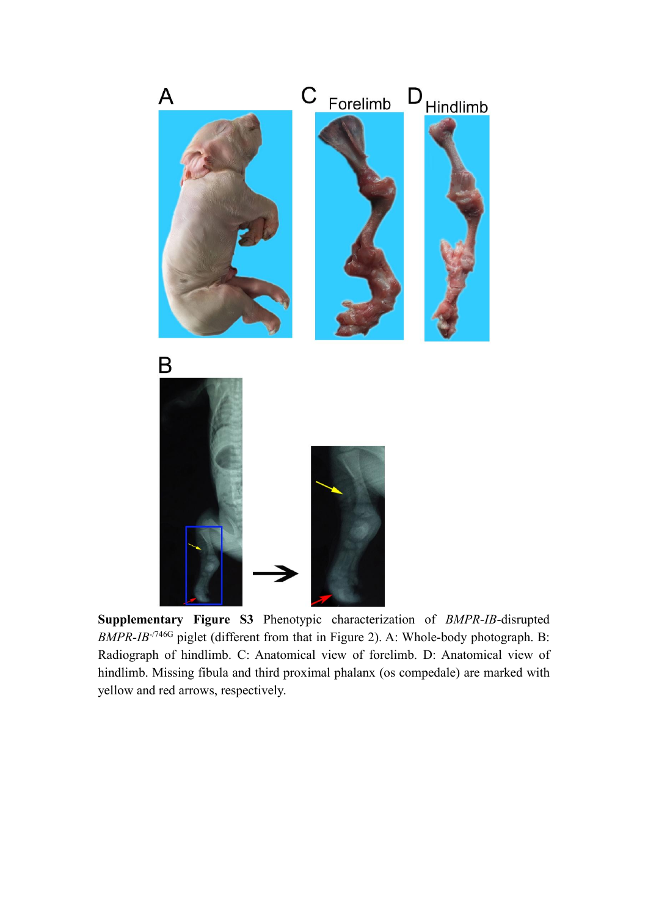

**Supplementary Figure S3** Phenotypic characterization of *BMPR-IB*-disrupted *BMPR-IB*<sup>-/746G</sup> piglet (different from that in Figure 2). A: Whole-body photograph. B: Radiograph of hindlimb. C: Anatomical view of forelimb. D: Anatomical view of hindlimb. Missing fibula and third proximal phalanx (os compedale) are marked with yellow and red arrows, respectively.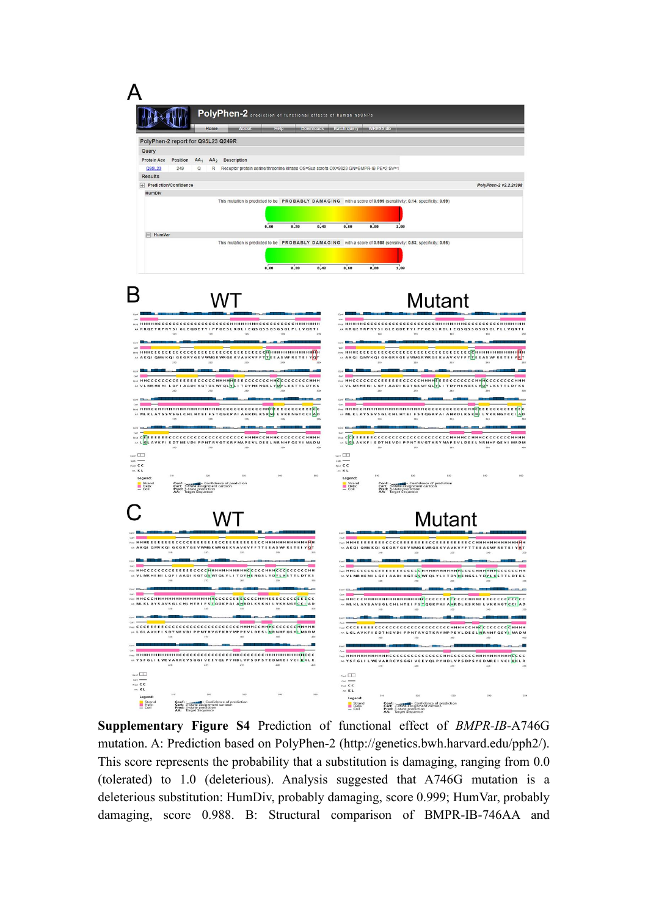

**Supplementary Figure S4** Prediction of functional effect of *BMPR-IB*-A746G mutation. A: Prediction based on PolyPhen-2 (http://genetics.bwh.harvard.edu/pph2/). This score represents the probability that a substitution is damaging, ranging from 0.0 (tolerated) to  $1.0$  (deleterious). Analysis suggested that  $A746G$  mutation is a deleterious substitution: HumDiv, probably damaging, score 0.999; HumVar, probably damaging, score 0.988. B: Structural comparison of BMPR-IB-746AA and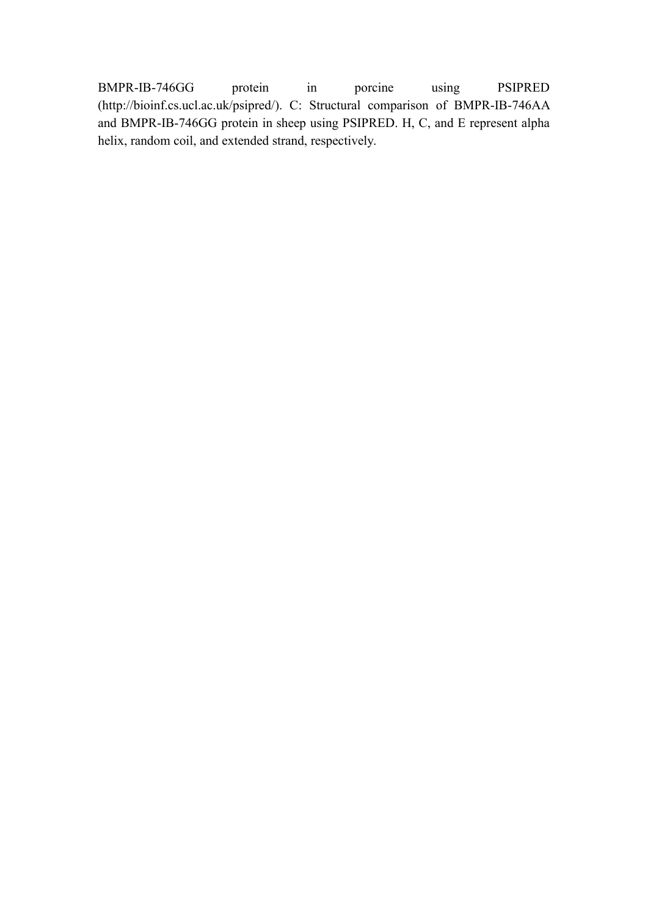BMPR-IB-746GG protein in porcine using PSIPRED (http://bioinf.cs.ucl.ac.uk/psipred/). C: Structural comparison of BMPR-IB-746AA and BMPR-IB-746GG protein in sheep using PSIPRED. H, C, and E represent alpha helix, random coil, and extended strand, respectively.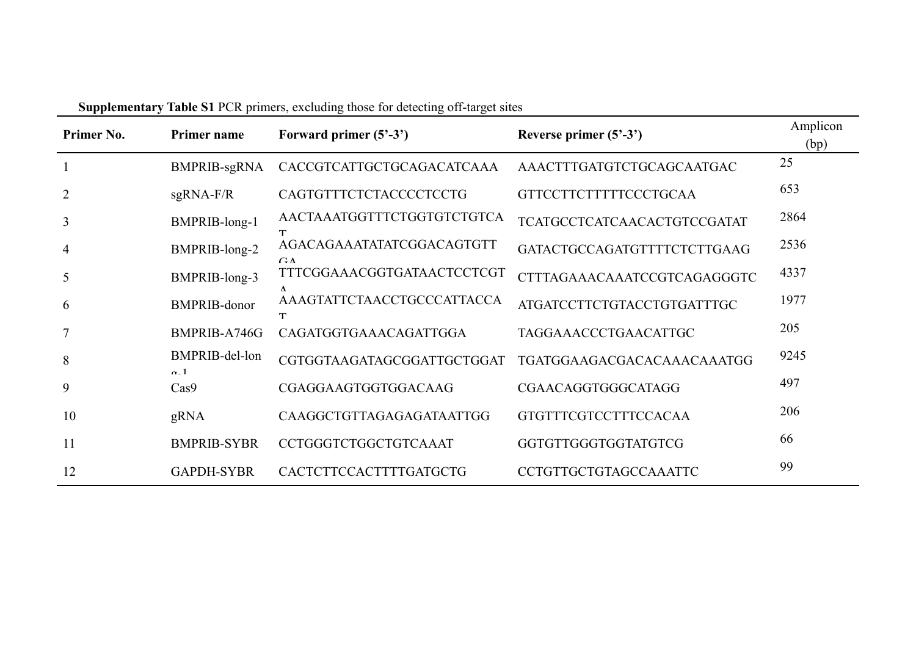| Primer No.     | Primer name                     | Forward primer $(5^2-3^2)$       | Reverse primer (5'-3')       | Amplicon<br>(bp) |
|----------------|---------------------------------|----------------------------------|------------------------------|------------------|
|                | <b>BMPRIB-sgRNA</b>             | CACCGTCATTGCTGCAGACATCAAA        | AAACTTTGATGTCTGCAGCAATGAC    | 25               |
| 2              | $sgRNA-F/R$                     | CAGTGTTTCTCTACCCCTCCTG           | <b>GTTCCTTCTTTTTCCCTGCAA</b> | 653              |
| 3              | BMPRIB-long-1                   | AACTAAATGGTTTCTGGTGTCTGTCA       | TCATGCCTCATCAACACTGTCCGATAT  | 2864             |
| $\overline{4}$ | BMPRIB-long-2                   | AGACAGAAATATATCGGACAGTGTT        | GATACTGCCAGATGTTTTCTCTTGAAG  | 2536             |
| 5              | BMPRIB-long-3                   | GΛ<br>TTTCGGAAACGGTGATAACTCCTCGT | CTTTAGAAACAAATCCGTCAGAGGGTC  | 4337             |
| 6              | <b>BMPRIB-donor</b>             | AAAGTATTCTAACCTGCCCATTACCA       | ATGATCCTTCTGTACCTGTGATTTGC   | 1977             |
| $\overline{7}$ | BMPRIB-A746G                    | CAGATGGTGAAACAGATTGGA            | TAGGAAACCCTGAACATTGC         | 205              |
| 8              | BMPRIB-del-lon                  | CGTGGTAAGATAGCGGATTGCTGGAT       | TGATGGAAGACGACACAAACAAATGG   | 9245             |
| 9              | $\alpha$ <sub>-</sub> 1<br>Cas9 | CGAGGAAGTGGTGGACAAG              | CGAACAGGTGGGCATAGG           | 497              |
| 10             | gRNA                            | CAAGGCTGTTAGAGAGATAATTGG         | <b>GTGTTTCGTCCTTTCCACAA</b>  | 206              |
| 11             | <b>BMPRIB-SYBR</b>              | CCTGGGTCTGGCTGTCAAAT             | GGTGTTGGGTGGTATGTCG          | 66               |
| 12             | <b>GAPDH-SYBR</b>               | CACTCTTCCACTTTTGATGCTG           | CCTGTTGCTGTAGCCAAATTC        | 99               |

**Supplementary Table S1** PCR primers, excluding those for detecting off-target sites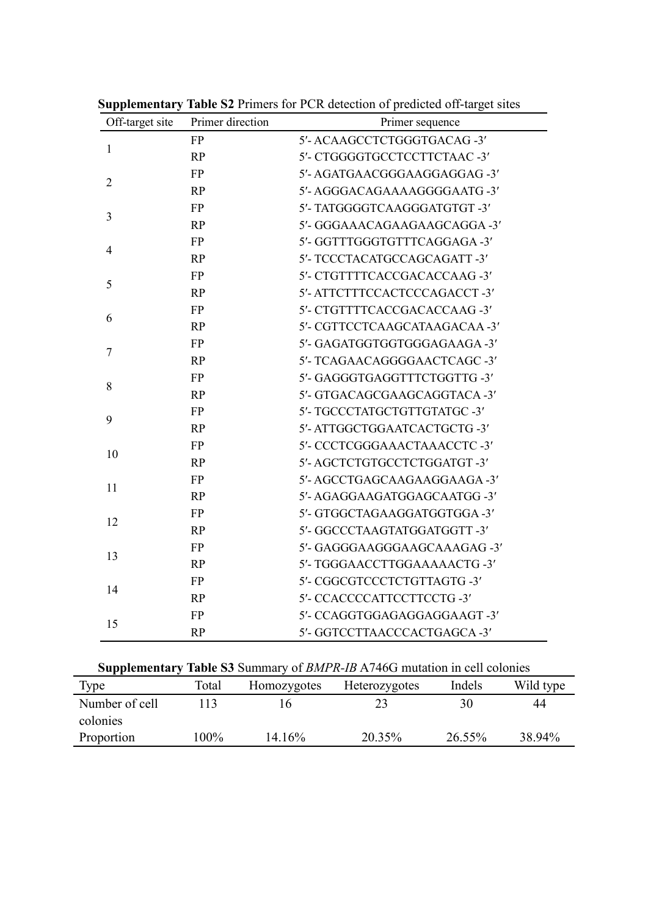| Off-target site | Primer direction | Primer sequence               |
|-----------------|------------------|-------------------------------|
| $\mathbf{1}$    | <b>FP</b>        | 5'- ACAAGCCTCTGGGTGACAG -3'   |
|                 | RP               | 5'- CTGGGGTGCCTCCTTCTAAC -3'  |
|                 | <b>FP</b>        | 5'-AGATGAACGGGAAGGAGGAG-3'    |
| $\overline{2}$  | RP               | 5'-AGGGACAGAAAAGGGGAATG-3'    |
|                 | <b>FP</b>        | 5'- TATGGGGTCAAGGGATGTGT -3'  |
| 3               | <b>RP</b>        | 5'- GGGAAACAGAAGAAGCAGGA -3'  |
|                 | <b>FP</b>        | 5'- GGTTTGGGTGTTTCAGGAGA-3'   |
| $\overline{4}$  | RP               | 5'- TCCCTACATGCCAGCAGATT-3'   |
|                 | <b>FP</b>        | 5'- CTGTTTTCACCGACACCAAG -3'  |
| 5               | RP               | 5'-ATTCTTTCCACTCCCAGACCT-3'   |
|                 | <b>FP</b>        | 5'- CTGTTTTCACCGACACCAAG -3'  |
| 6               | RP               | 5'- CGTTCCTCAAGCATAAGACAA -3' |
|                 | <b>FP</b>        | 5'- GAGATGGTGGTGGGAGAAGA -3'  |
| $\tau$          | RP               | 5'- TCAGAACAGGGGAACTCAGC -3'  |
|                 | <b>FP</b>        | 5'- GAGGGTGAGGTTTCTGGTTG-3'   |
| $8\,$           | RP               | 5'- GTGACAGCGAAGCAGGTACA -3'  |
| 9               | <b>FP</b>        | 5'- TGCCCTATGCTGTTGTATGC -3'  |
|                 | <b>RP</b>        | 5'-ATTGGCTGGAATCACTGCTG-3'    |
| 10              | <b>FP</b>        | 5'- CCCTCGGGAAACTAAACCTC-3'   |
|                 | RP               | 5'-AGCTCTGTGCCTCTGGATGT-3'    |
|                 | <b>FP</b>        | 5'-AGCCTGAGCAAGAAGGAAGA-3'    |
| 11              | RP               | 5'- AGAGGAAGATGGAGCAATGG -3'  |
| 12              | <b>FP</b>        | 5'- GTGGCTAGAAGGATGGTGGA-3'   |
|                 | RP               | 5'- GGCCCTAAGTATGGATGGTT-3'   |
| 13              | <b>FP</b>        | 5'- GAGGGAAGGGAAGCAAAGAG -3'  |
|                 | RP               | 5'- TGGGAACCTTGGAAAAACTG -3'  |
| 14              | <b>FP</b>        | 5'- CGGCGTCCCTCTGTTAGTG -3'   |
|                 | <b>RP</b>        | 5'- CCACCCCATTCCTTCCTG-3'     |
| 15              | <b>FP</b>        | 5'- CCAGGTGGAGAGGAGGAAGT-3'   |
|                 | RP               | 5'- GGTCCTTAACCCACTGAGCA-3'   |

**Supplementary Table S2** Primers for PCR detection of predicted off-target sites

| Supplementary Table S3 Summary of BMPR-IB A746G mutation in cell colonies |       |             |               |        |           |
|---------------------------------------------------------------------------|-------|-------------|---------------|--------|-----------|
| Type                                                                      | Total | Homozygotes | Heterozygotes | Indels | Wild type |
| Number of cell                                                            |       |             |               | 30     | 44        |
| colonies                                                                  |       |             |               |        |           |
| Proportion                                                                | 100%  | 14.16%      | 20.35%        | 26.55% | 38.94%    |